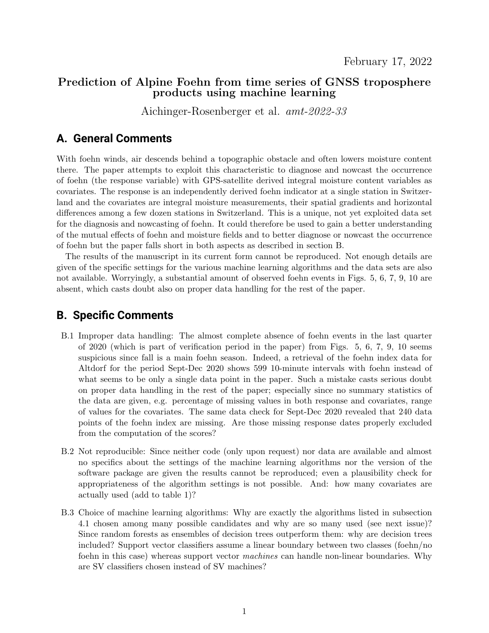### Prediction of Alpine Foehn from time series of GNSS troposphere products using machine learning

Aichinger-Rosenberger et al. amt-2022-33

## **A. General Comments**

With foehn winds, air descends behind a topographic obstacle and often lowers moisture content there. The paper attempts to exploit this characteristic to diagnose and nowcast the occurrence of foehn (the response variable) with GPS-satellite derived integral moisture content variables as covariates. The response is an independently derived foehn indicator at a single station in Switzerland and the covariates are integral moisture measurements, their spatial gradients and horizontal differences among a few dozen stations in Switzerland. This is a unique, not yet exploited data set for the diagnosis and nowcasting of foehn. It could therefore be used to gain a better understanding of the mutual effects of foehn and moisture fields and to better diagnose or nowcast the occurrence of foehn but the paper falls short in both aspects as described in section B.

The results of the manuscript in its current form cannot be reproduced. Not enough details are given of the specific settings for the various machine learning algorithms and the data sets are also not available. Worryingly, a substantial amount of observed foehn events in Figs. 5, 6, 7, 9, 10 are absent, which casts doubt also on proper data handling for the rest of the paper.

# **B. Specific Comments**

- B.1 Improper data handling: The almost complete absence of foehn events in the last quarter of 2020 (which is part of verification period in the paper) from Figs. 5, 6, 7, 9, 10 seems suspicious since fall is a main foehn season. Indeed, a retrieval of the foehn index data for Altdorf for the period Sept-Dec 2020 shows 599 10-minute intervals with foehn instead of what seems to be only a single data point in the paper. Such a mistake casts serious doubt on proper data handling in the rest of the paper; especially since no summary statistics of the data are given, e.g. percentage of missing values in both response and covariates, range of values for the covariates. The same data check for Sept-Dec 2020 revealed that 240 data points of the foehn index are missing. Are those missing response dates properly excluded from the computation of the scores?
- B.2 Not reproducible: Since neither code (only upon request) nor data are available and almost no specifics about the settings of the machine learning algorithms nor the version of the software package are given the results cannot be reproduced; even a plausibility check for appropriateness of the algorithm settings is not possible. And: how many covariates are actually used (add to table 1)?
- B.3 Choice of machine learning algorithms: Why are exactly the algorithms listed in subsection 4.1 chosen among many possible candidates and why are so many used (see next issue)? Since random forests as ensembles of decision trees outperform them: why are decision trees included? Support vector classifiers assume a linear boundary between two classes (foehn/no foehn in this case) whereas support vector machines can handle non-linear boundaries. Why are SV classifiers chosen instead of SV machines?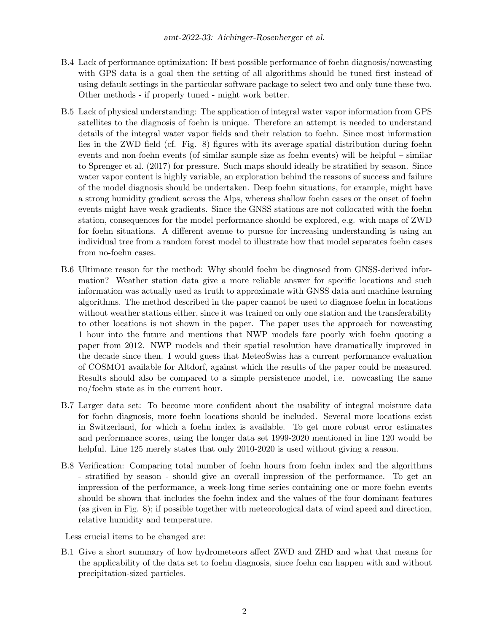- B.4 Lack of performance optimization: If best possible performance of foehn diagnosis/nowcasting with GPS data is a goal then the setting of all algorithms should be tuned first instead of using default settings in the particular software package to select two and only tune these two. Other methods - if properly tuned - might work better.
- B.5 Lack of physical understanding: The application of integral water vapor information from GPS satellites to the diagnosis of foehn is unique. Therefore an attempt is needed to understand details of the integral water vapor fields and their relation to foehn. Since most information lies in the ZWD field (cf. Fig. 8) figures with its average spatial distribution during foehn events and non-foehn events (of similar sample size as foehn events) will be helpful – similar to Sprenger et al. (2017) for pressure. Such maps should ideally be stratified by season. Since water vapor content is highly variable, an exploration behind the reasons of success and failure of the model diagnosis should be undertaken. Deep foehn situations, for example, might have a strong humidity gradient across the Alps, whereas shallow foehn cases or the onset of foehn events might have weak gradients. Since the GNSS stations are not collocated with the foehn station, consequences for the model performance should be explored, e.g. with maps of ZWD for foehn situations. A different avenue to pursue for increasing understanding is using an individual tree from a random forest model to illustrate how that model separates foehn cases from no-foehn cases.
- B.6 Ultimate reason for the method: Why should foehn be diagnosed from GNSS-derived information? Weather station data give a more reliable answer for specific locations and such information was actually used as truth to approximate with GNSS data and machine learning algorithms. The method described in the paper cannot be used to diagnose foehn in locations without weather stations either, since it was trained on only one station and the transferability to other locations is not shown in the paper. The paper uses the approach for nowcasting 1 hour into the future and mentions that NWP models fare poorly with foehn quoting a paper from 2012. NWP models and their spatial resolution have dramatically improved in the decade since then. I would guess that MeteoSwiss has a current performance evaluation of COSMO1 available for Altdorf, against which the results of the paper could be measured. Results should also be compared to a simple persistence model, i.e. nowcasting the same no/foehn state as in the current hour.
- B.7 Larger data set: To become more confident about the usability of integral moisture data for foehn diagnosis, more foehn locations should be included. Several more locations exist in Switzerland, for which a foehn index is available. To get more robust error estimates and performance scores, using the longer data set 1999-2020 mentioned in line 120 would be helpful. Line 125 merely states that only 2010-2020 is used without giving a reason.
- B.8 Verification: Comparing total number of foehn hours from foehn index and the algorithms - stratified by season - should give an overall impression of the performance. To get an impression of the performance, a week-long time series containing one or more foehn events should be shown that includes the foehn index and the values of the four dominant features (as given in Fig. 8); if possible together with meteorological data of wind speed and direction, relative humidity and temperature.

Less crucial items to be changed are:

B.1 Give a short summary of how hydrometeors affect ZWD and ZHD and what that means for the applicability of the data set to foehn diagnosis, since foehn can happen with and without precipitation-sized particles.